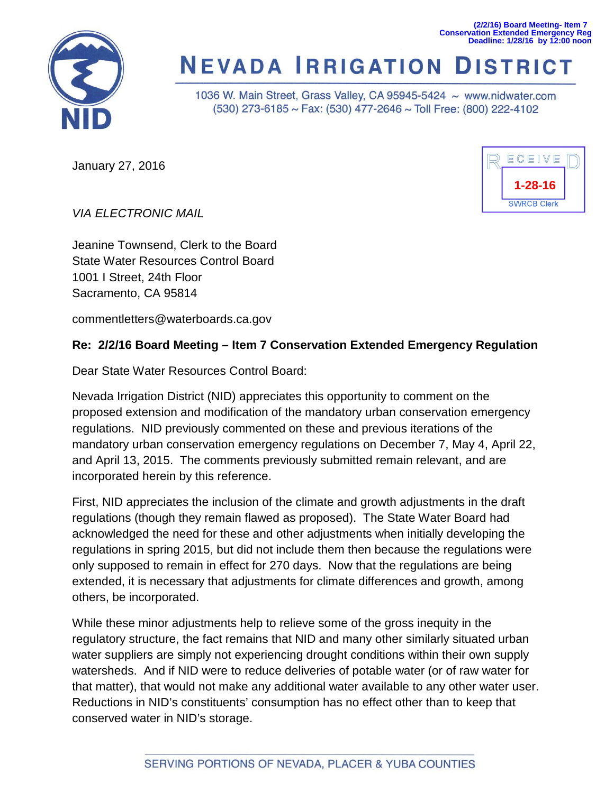**(2/2/16) Board Meeting- Item 7 Conservation Extended Emergency Reg Deadline: 1/28/16 by 12:00 noon**



# **NEVADA IRRIGATION DISTRICT**

1036 W. Main Street, Grass Valley, CA 95945-5424 ~ www.nidwater.com (530) 273-6185 ~ Fax: (530) 477-2646 ~ Toll Free: (800) 222-4102

January 27, 2016



*VIA ELECTRONIC MAIL*

Jeanine Townsend, Clerk to the Board State Water Resources Control Board 1001 I Street, 24th Floor Sacramento, CA 95814

commentletters@waterboards.ca.gov

# **Re: 2/2/16 Board Meeting – Item 7 Conservation Extended Emergency Regulation**

Dear State Water Resources Control Board:

Nevada Irrigation District (NID) appreciates this opportunity to comment on the proposed extension and modification of the mandatory urban conservation emergency regulations. NID previously commented on these and previous iterations of the mandatory urban conservation emergency regulations on December 7, May 4, April 22, and April 13, 2015. The comments previously submitted remain relevant, and are incorporated herein by this reference.

First, NID appreciates the inclusion of the climate and growth adjustments in the draft regulations (though they remain flawed as proposed). The State Water Board had acknowledged the need for these and other adjustments when initially developing the regulations in spring 2015, but did not include them then because the regulations were only supposed to remain in effect for 270 days. Now that the regulations are being extended, it is necessary that adjustments for climate differences and growth, among others, be incorporated.

While these minor adjustments help to relieve some of the gross inequity in the regulatory structure, the fact remains that NID and many other similarly situated urban water suppliers are simply not experiencing drought conditions within their own supply watersheds. And if NID were to reduce deliveries of potable water (or of raw water for that matter), that would not make any additional water available to any other water user. Reductions in NID's constituents' consumption has no effect other than to keep that conserved water in NID's storage.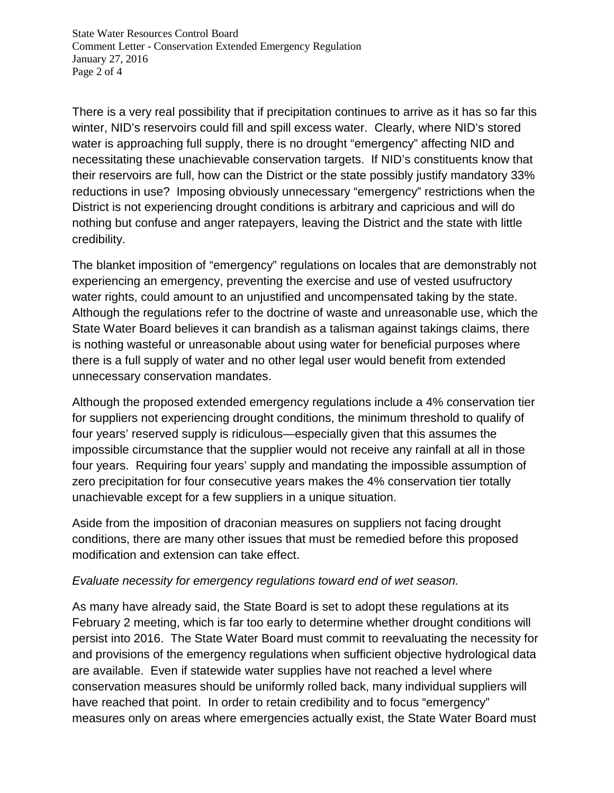State Water Resources Control Board Comment Letter - Conservation Extended Emergency Regulation January 27, 2016 Page 2 of 4

There is a very real possibility that if precipitation continues to arrive as it has so far this winter, NID's reservoirs could fill and spill excess water. Clearly, where NID's stored water is approaching full supply, there is no drought "emergency" affecting NID and necessitating these unachievable conservation targets. If NID's constituents know that their reservoirs are full, how can the District or the state possibly justify mandatory 33% reductions in use? Imposing obviously unnecessary "emergency" restrictions when the District is not experiencing drought conditions is arbitrary and capricious and will do nothing but confuse and anger ratepayers, leaving the District and the state with little credibility.

The blanket imposition of "emergency" regulations on locales that are demonstrably not experiencing an emergency, preventing the exercise and use of vested usufructory water rights, could amount to an unjustified and uncompensated taking by the state. Although the regulations refer to the doctrine of waste and unreasonable use, which the State Water Board believes it can brandish as a talisman against takings claims, there is nothing wasteful or unreasonable about using water for beneficial purposes where there is a full supply of water and no other legal user would benefit from extended unnecessary conservation mandates.

Although the proposed extended emergency regulations include a 4% conservation tier for suppliers not experiencing drought conditions, the minimum threshold to qualify of four years' reserved supply is ridiculous—especially given that this assumes the impossible circumstance that the supplier would not receive any rainfall at all in those four years. Requiring four years' supply and mandating the impossible assumption of zero precipitation for four consecutive years makes the 4% conservation tier totally unachievable except for a few suppliers in a unique situation.

Aside from the imposition of draconian measures on suppliers not facing drought conditions, there are many other issues that must be remedied before this proposed modification and extension can take effect.

## *Evaluate necessity for emergency regulations toward end of wet season.*

As many have already said, the State Board is set to adopt these regulations at its February 2 meeting, which is far too early to determine whether drought conditions will persist into 2016. The State Water Board must commit to reevaluating the necessity for and provisions of the emergency regulations when sufficient objective hydrological data are available. Even if statewide water supplies have not reached a level where conservation measures should be uniformly rolled back, many individual suppliers will have reached that point. In order to retain credibility and to focus "emergency" measures only on areas where emergencies actually exist, the State Water Board must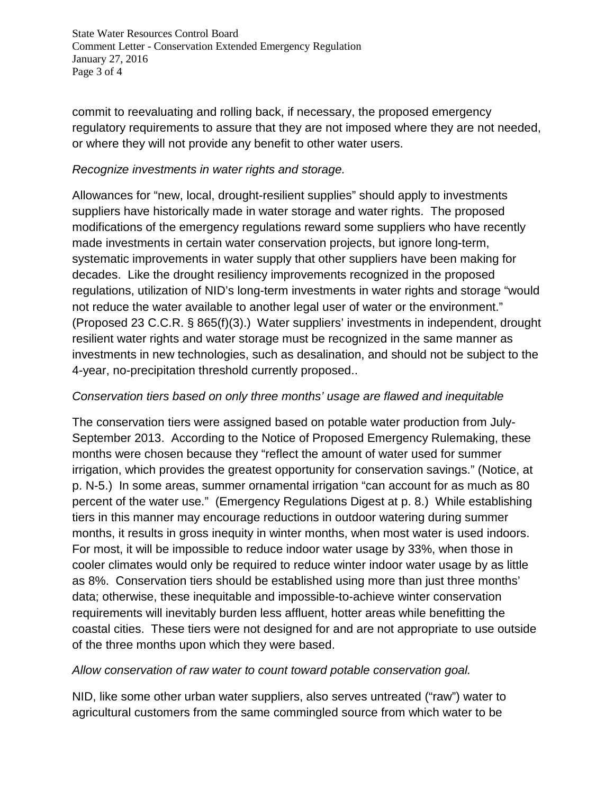State Water Resources Control Board Comment Letter - Conservation Extended Emergency Regulation January 27, 2016 Page 3 of 4

commit to reevaluating and rolling back, if necessary, the proposed emergency regulatory requirements to assure that they are not imposed where they are not needed, or where they will not provide any benefit to other water users.

# *Recognize investments in water rights and storage.*

Allowances for "new, local, drought-resilient supplies" should apply to investments suppliers have historically made in water storage and water rights. The proposed modifications of the emergency regulations reward some suppliers who have recently made investments in certain water conservation projects, but ignore long-term, systematic improvements in water supply that other suppliers have been making for decades. Like the drought resiliency improvements recognized in the proposed regulations, utilization of NID's long-term investments in water rights and storage "would not reduce the water available to another legal user of water or the environment." (Proposed 23 C.C.R. § 865(f)(3).) Water suppliers' investments in independent, drought resilient water rights and water storage must be recognized in the same manner as investments in new technologies, such as desalination, and should not be subject to the 4-year, no-precipitation threshold currently proposed..

# *Conservation tiers based on only three months' usage are flawed and inequitable*

The conservation tiers were assigned based on potable water production from July-September 2013. According to the Notice of Proposed Emergency Rulemaking, these months were chosen because they "reflect the amount of water used for summer irrigation, which provides the greatest opportunity for conservation savings." (Notice, at p. N-5.) In some areas, summer ornamental irrigation "can account for as much as 80 percent of the water use." (Emergency Regulations Digest at p. 8.) While establishing tiers in this manner may encourage reductions in outdoor watering during summer months, it results in gross inequity in winter months, when most water is used indoors. For most, it will be impossible to reduce indoor water usage by 33%, when those in cooler climates would only be required to reduce winter indoor water usage by as little as 8%. Conservation tiers should be established using more than just three months' data; otherwise, these inequitable and impossible-to-achieve winter conservation requirements will inevitably burden less affluent, hotter areas while benefitting the coastal cities. These tiers were not designed for and are not appropriate to use outside of the three months upon which they were based.

## *Allow conservation of raw water to count toward potable conservation goal.*

NID, like some other urban water suppliers, also serves untreated ("raw") water to agricultural customers from the same commingled source from which water to be